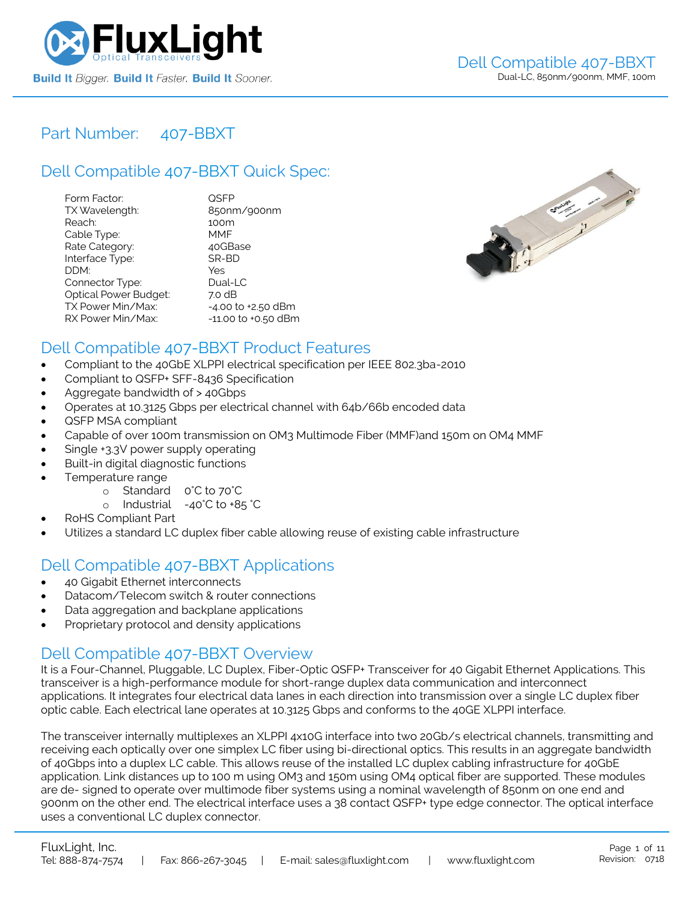

### Part Number: [407-BBXT](https://www.fluxlight.com/407-BBXT/)

# Dell Compatible [407-BBXT](https://www.fluxlight.com/407-BBXT/) Quick Spec:

| Form Factor:                 | QSFP                |
|------------------------------|---------------------|
| TX Wavelength:               | 850nm/900nm         |
| Reach:                       | 100m                |
| Cable Type:                  | MMF                 |
| Rate Category:               | 40GBase             |
| Interface Type:              | SR-BD               |
| DDM:                         | Yes                 |
| Connector Type:              | Dual-LC             |
| <b>Optical Power Budget:</b> | 7.0 dB              |
| TX Power Min/Max:            | -4.00 to +2.50 dBm  |
| RX Power Min/Max:            | -11.00 to +0.50 dBm |



## Dell Compatible [407-BBXT](https://www.fluxlight.com/407-BBXT/) Product Features

- Compliant to the 40GbE XLPPI electrical specification per IEEE 802.3ba-2010
- Compliant to QSFP+ SFF-8436 Specification
- Aggregate bandwidth of > 40Gbps
- Operates at 10.3125 Gbps per electrical channel with 64b/66b encoded data
- QSFP MSA compliant
- Capable of over 100m transmission on OM3 Multimode Fiber (MMF)and 150m on OM4 MMF
- Single +3.3V power supply operating
- Built-in digital diagnostic functions
- Temperature range
	- o Standard 0°C to 70°C
	- o Industrial -40°C to +85 °C
- RoHS Compliant Part
- Utilizes a standard LC duplex fiber cable allowing reuse of existing cable infrastructure

### Dell Compatible [407-BBXT](https://www.fluxlight.com/407-BBXT/) Applications

- 40 Gigabit Ethernet interconnects
- Datacom/Telecom switch & router connections
- Data aggregation and backplane applications
- Proprietary protocol and density applications

### Dell Compatible [407-BBXT](https://www.fluxlight.com/407-BBXT/) Overview

It is a Four-Channel, Pluggable, LC Duplex, Fiber-Optic QSFP+ Transceiver for 40 Gigabit Ethernet Applications. This transceiver is a high-performance module for short-range duplex data communication and interconnect applications. It integrates four electrical data lanes in each direction into transmission over a single LC duplex fiber optic cable. Each electrical lane operates at 10.3125 Gbps and conforms to the 40GE XLPPI interface.

The transceiver internally multiplexes an XLPPI 4x10G interface into two 20Gb/s electrical channels, transmitting and receiving each optically over one simplex LC fiber using bi-directional optics. This results in an aggregate bandwidth of 40Gbps into a duplex LC cable. This allows reuse of the installed LC duplex cabling infrastructure for 40GbE application. Link distances up to 100 m using OM3 and 150m using OM4 optical fiber are supported. These modules are de- signed to operate over multimode fiber systems using a nominal wavelength of 850nm on one end and 900nm on the other end. The electrical interface uses a 38 contact QSFP+ type edge connector. The optical interface uses a conventional LC duplex connector.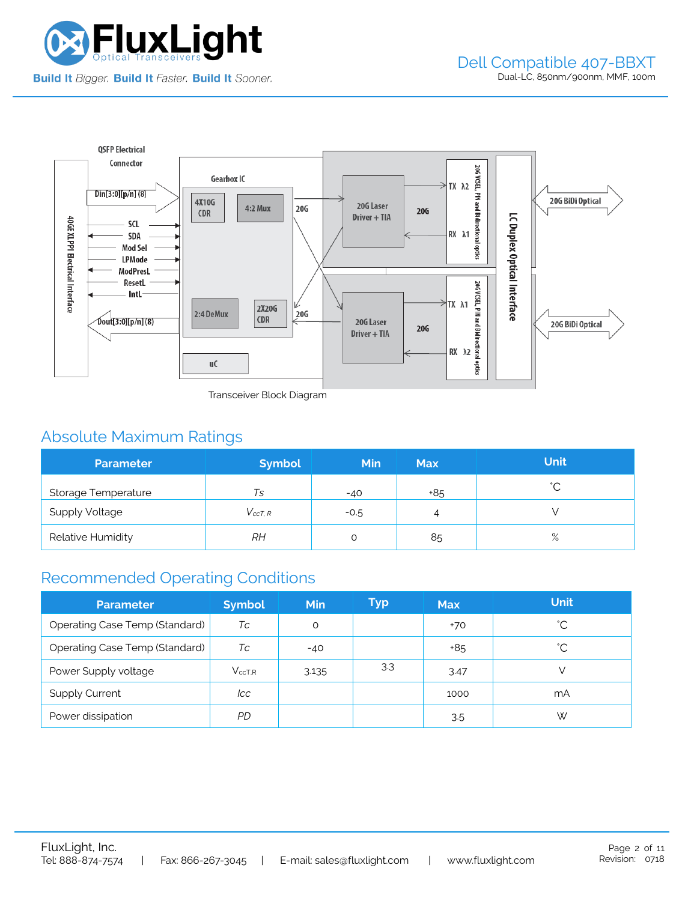



Transceiver Block Diagram

# Absolute Maximum Ratings

| <b>Parameter</b>      | <b>Symbol</b>  | <b>Min</b> | <b>Max</b> | <b>Unit</b> |
|-----------------------|----------------|------------|------------|-------------|
| Storage Temperature   | Ts             | $-40$      | +85        | $\hat{ }$   |
| <b>Supply Voltage</b> | $V_{c c T. R}$ | $-0.5$     | 4          |             |
| Relative Humidity     | RН             |            | 85         | $\%$        |

## Recommended Operating Conditions

| <b>Parameter</b>               | <b>Symbol</b> | <b>Min</b> | Typ | <b>Max</b> | <b>Unit</b> |
|--------------------------------|---------------|------------|-----|------------|-------------|
| Operating Case Temp (Standard) | Тc            | O          |     | $+70$      | °С          |
| Operating Case Temp (Standard) | Тc            | $-40$      |     | +85        | °С          |
| Power Supply voltage           | $V_{ccT.R}$   | 3.135      | 3.3 | 3.47       |             |
| <b>Supply Current</b>          | lcc           |            |     | 1000       | mA          |
| Power dissipation              | PD            |            |     | 3.5        | W           |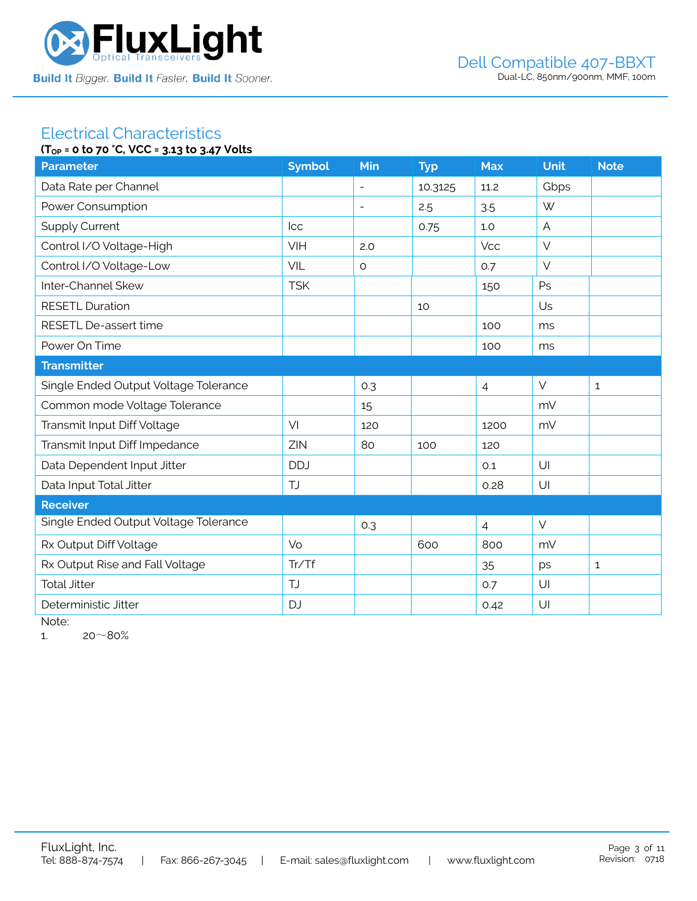

#### Electrical Characteristics **(TOP = 0 to 70 °C, VCC = 3.13 to 3.47 Volts**

| ۱۱ <sub>OP</sub> = 0 to /0 C, YCC = 3.13 to 3.4/ YOUS |               |                          |            |                |                |              |  |  |
|-------------------------------------------------------|---------------|--------------------------|------------|----------------|----------------|--------------|--|--|
| <b>Parameter</b>                                      | <b>Symbol</b> | Min                      | <b>Typ</b> | <b>Max</b>     | <b>Unit</b>    | <b>Note</b>  |  |  |
| Data Rate per Channel                                 |               |                          | 10.3125    | 11.2           | Gbps           |              |  |  |
| Power Consumption                                     |               | $\overline{\phantom{a}}$ | 2.5        | 3.5            | W              |              |  |  |
| <b>Supply Current</b>                                 | <b>Icc</b>    |                          | 0.75       | 1.0            | $\overline{A}$ |              |  |  |
| Control I/O Voltage-High                              | VIH           | 2.0                      |            | <b>Vcc</b>     | $\vee$         |              |  |  |
| Control I/O Voltage-Low                               | VIL           | $\circ$                  |            | 0.7            | $\vee$         |              |  |  |
| Inter-Channel Skew                                    | <b>TSK</b>    |                          |            | 150            | Ps             |              |  |  |
| <b>RESETL Duration</b>                                |               |                          | 10         |                | Us             |              |  |  |
| RESETL De-assert time                                 |               |                          |            | 100            | ms             |              |  |  |
| Power On Time                                         |               |                          |            | 100            | ms             |              |  |  |
| <b>Transmitter</b>                                    |               |                          |            |                |                |              |  |  |
| Single Ended Output Voltage Tolerance                 |               | 0.3                      |            | $\overline{4}$ | $\vee$         | $\mathbf{1}$ |  |  |
| Common mode Voltage Tolerance                         |               | 15                       |            |                | mV             |              |  |  |
| Transmit Input Diff Voltage                           | VI            | 120                      |            | 1200           | mV             |              |  |  |
| Transmit Input Diff Impedance                         | ZIN           | 80                       | 100        | 120            |                |              |  |  |
| Data Dependent Input Jitter                           | <b>DDJ</b>    |                          |            | 0.1            | U              |              |  |  |
| Data Input Total Jitter                               | TJ            |                          |            | 0.28           | U              |              |  |  |
| <b>Receiver</b>                                       |               |                          |            |                |                |              |  |  |
| Single Ended Output Voltage Tolerance                 |               | 0.3                      |            | $\overline{4}$ | $\vee$         |              |  |  |
| Rx Output Diff Voltage                                | Vo            |                          | 600        | 800            | mV             |              |  |  |
| Rx Output Rise and Fall Voltage                       | Tr/Tf         |                          |            | 35             | ps             | $\mathbf{1}$ |  |  |
| <b>Total Jitter</b>                                   | TJ            |                          |            | 0.7            | U              |              |  |  |
| Deterministic Jitter                                  | <b>DJ</b>     |                          |            | 0.42           | U              |              |  |  |
|                                                       |               |                          |            |                |                |              |  |  |

Note:

1.  $20~80%$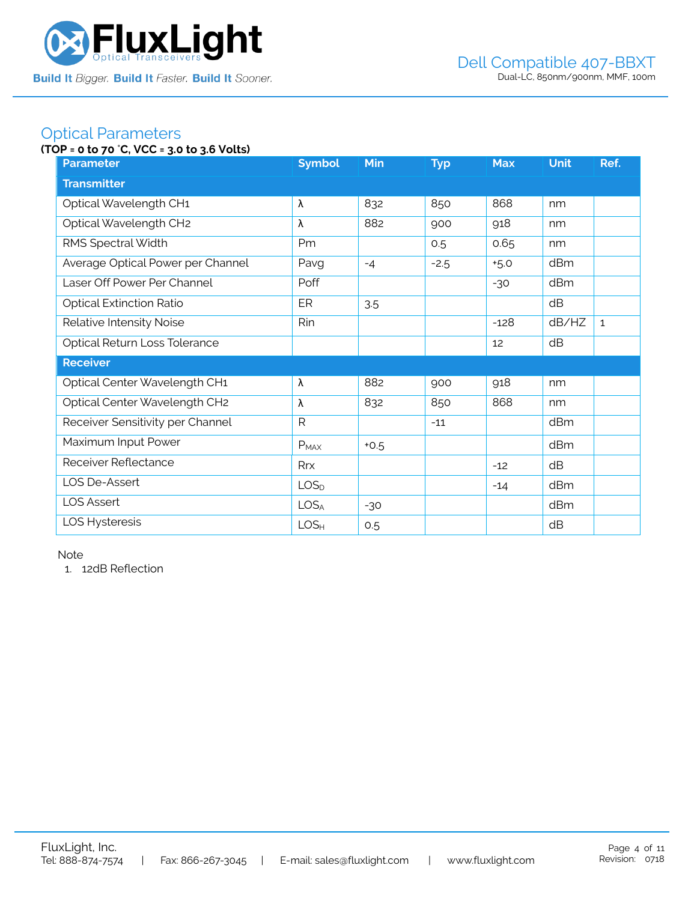

### Optical Parameters

### **(TOP = 0 to 70** °**C, VCC = 3.0 to 3.6 Volts)**

| <b>Parameter</b>                  | <b>Symbol</b>    | <b>Min</b> | <b>Typ</b> | <b>Max</b> | <b>Unit</b> | Ref.         |  |  |
|-----------------------------------|------------------|------------|------------|------------|-------------|--------------|--|--|
| <b>Transmitter</b>                |                  |            |            |            |             |              |  |  |
| Optical Wavelength CH1            | λ                | 832        | 850        | 868        | nm          |              |  |  |
| Optical Wavelength CH2            | λ                | 882        | 900        | 918        | nm          |              |  |  |
| RMS Spectral Width                | Pm               |            | 0.5        | 0.65       | nm          |              |  |  |
| Average Optical Power per Channel | Pavg             | $-4$       | $-2.5$     | $+5.0$     | dBm         |              |  |  |
| Laser Off Power Per Channel       | Poff             |            |            | $-30$      | dBm         |              |  |  |
| <b>Optical Extinction Ratio</b>   | ER               | 3.5        |            |            | dB          |              |  |  |
| Relative Intensity Noise          | Rin              |            |            | $-128$     | dB/HZ       | $\mathbf{1}$ |  |  |
| Optical Return Loss Tolerance     |                  |            |            | 12         | dB          |              |  |  |
| <b>Receiver</b>                   |                  |            |            |            |             |              |  |  |
| Optical Center Wavelength CH1     | λ                | 882        | 900        | 918        | nm          |              |  |  |
| Optical Center Wavelength CH2     | λ                | 832        | 850        | 868        | nm          |              |  |  |
| Receiver Sensitivity per Channel  | $\mathsf{R}$     |            | $-11$      |            | dBm         |              |  |  |
| Maximum Input Power               | $P_{MAX}$        | $+0.5$     |            |            | dBm         |              |  |  |
| Receiver Reflectance              | Rrx              |            |            | $-12$      | dB          |              |  |  |
| LOS De-Assert                     | LOS <sub>D</sub> |            |            | $-14$      | dBm         |              |  |  |
| <b>LOS Assert</b>                 | LOS <sub>A</sub> | $-30$      |            |            | dBm         |              |  |  |
| LOS Hysteresis                    | LOS <sub>H</sub> | 0.5        |            |            | dB          |              |  |  |

Note

1. 12dB Reflection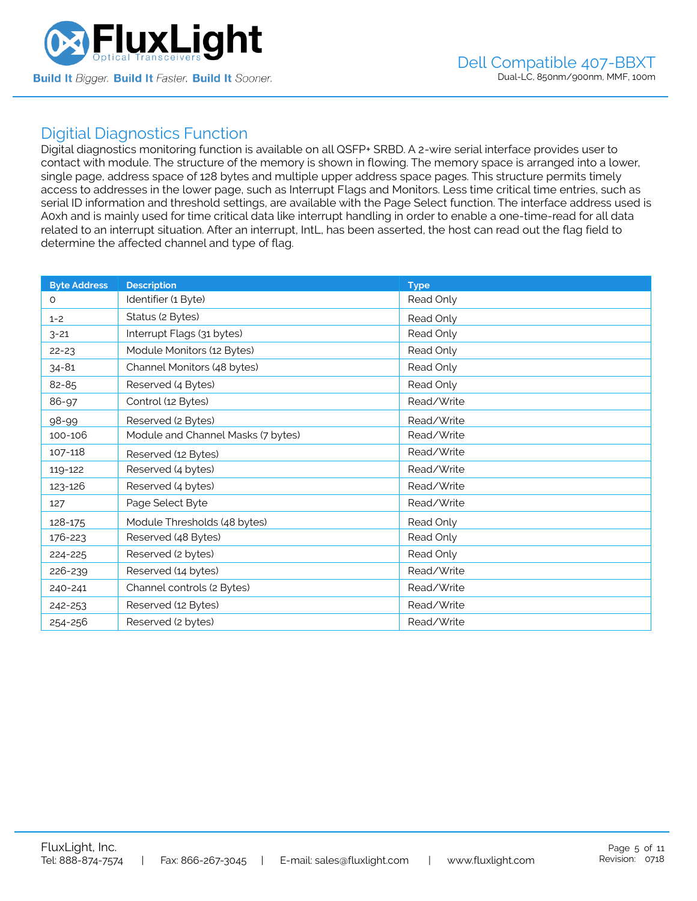

### Digitial Diagnostics Function

Digital diagnostics monitoring function is available on all QSFP+ SRBD. A 2-wire serial interface provides user to contact with module. The structure of the memory is shown in flowing. The memory space is arranged into a lower, single page, address space of 128 bytes and multiple upper address space pages. This structure permits timely access to addresses in the lower page, such as Interrupt Flags and Monitors. Less time critical time entries, such as serial ID information and threshold settings, are available with the Page Select function. The interface address used is A0xh and is mainly used for time critical data like interrupt handling in order to enable a one-time-read for all data related to an interrupt situation. After an interrupt, IntL, has been asserted, the host can read out the flag field to determine the affected channel and type of flag.

| <b>Byte Address</b> | <b>Description</b>                 | <b>Type</b> |
|---------------------|------------------------------------|-------------|
| $\Omega$            | Identifier (1 Byte)                | Read Only   |
| $1 - 2$             | Status (2 Bytes)                   | Read Only   |
| $3 - 21$            | Interrupt Flags (31 bytes)         | Read Only   |
| $22 - 23$           | Module Monitors (12 Bytes)         | Read Only   |
| $34 - 81$           | Channel Monitors (48 bytes)        | Read Only   |
| 82-85               | Reserved (4 Bytes)                 | Read Only   |
| 86-97               | Control (12 Bytes)                 | Read/Write  |
| 98-99               | Reserved (2 Bytes)                 | Read/Write  |
| 100-106             | Module and Channel Masks (7 bytes) | Read/Write  |
| 107-118             | Reserved (12 Bytes)                | Read/Write  |
| 119-122             | Reserved (4 bytes)                 | Read/Write  |
| 123-126             | Reserved (4 bytes)                 | Read/Write  |
| 127                 | Page Select Byte                   | Read/Write  |
| 128-175             | Module Thresholds (48 bytes)       | Read Only   |
| 176-223             | Reserved (48 Bytes)                | Read Only   |
| 224-225             | Reserved (2 bytes)                 | Read Only   |
| 226-239             | Reserved (14 bytes)                | Read/Write  |
| 240-241             | Channel controls (2 Bytes)         | Read/Write  |
| 242-253             | Reserved (12 Bytes)                | Read/Write  |
| 254-256             | Reserved (2 bytes)                 | Read/Write  |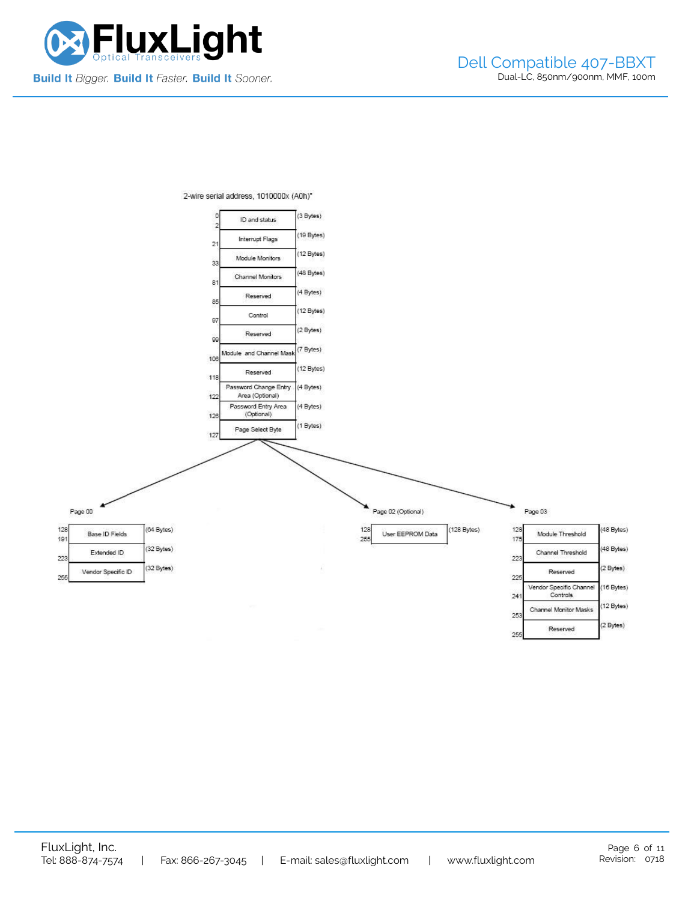

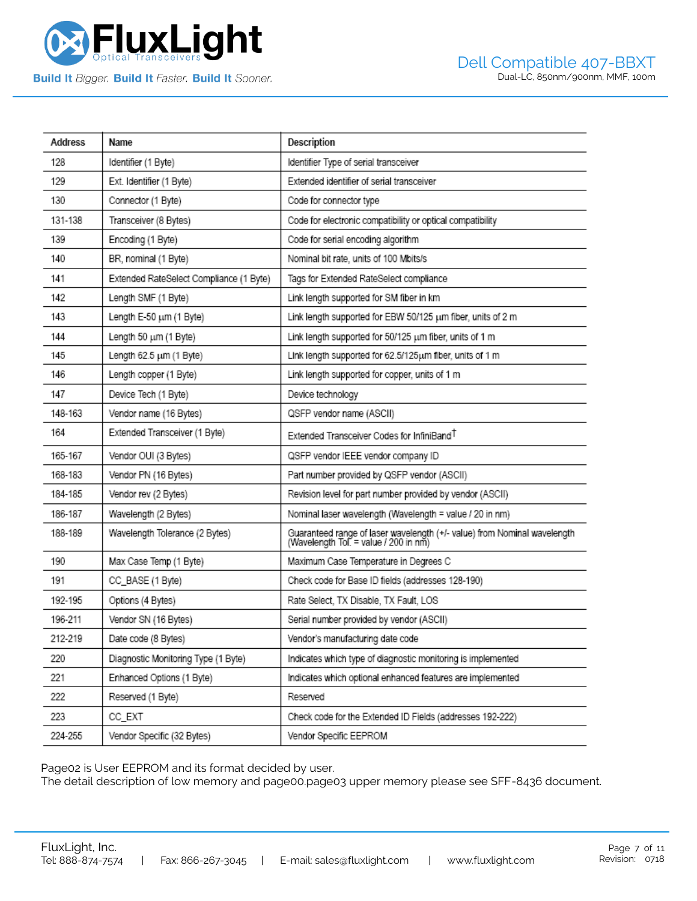

| Address | Name                                    | Description                                                                                                       |
|---------|-----------------------------------------|-------------------------------------------------------------------------------------------------------------------|
| 128     | Identifier (1 Byte)                     | Identifier Type of serial transceiver                                                                             |
| 129     | Ext. Identifier (1 Byte)                | Extended identifier of serial transceiver                                                                         |
| 130     | Connector (1 Byte)                      | Code for connector type                                                                                           |
| 131-138 | Transceiver (8 Bytes)                   | Code for electronic compatibility or optical compatibility                                                        |
| 139     | Encoding (1 Byte)                       | Code for serial encoding algorithm                                                                                |
| 140     | BR, nominal (1 Byte)                    | Nominal bit rate, units of 100 Mbits/s                                                                            |
| 141     | Extended RateSelect Compliance (1 Byte) | Tags for Extended RateSelect compliance                                                                           |
| 142     | Length SMF (1 Byte)                     | Link length supported for SM fiber in km                                                                          |
| 143     | Length E-50 um (1 Byte)                 | Link length supported for EBW 50/125 um fiber, units of 2 m                                                       |
| 144     | Length 50 um (1 Byte)                   | Link length supported for 50/125 um fiber, units of 1 m                                                           |
| 145     | Length 62.5 um (1 Byte)                 | Link length supported for 62.5/125um fiber, units of 1 m                                                          |
| 146     | Length copper (1 Byte)                  | Link length supported for copper, units of 1 m                                                                    |
| 147     | Device Tech (1 Byte)                    | Device technology                                                                                                 |
| 148-163 | Vendor name (16 Bytes)                  | QSFP vendor name (ASCII)                                                                                          |
| 164     | Extended Transceiver (1 Byte)           | Extended Transceiver Codes for InfiniBand <sup>T</sup>                                                            |
| 165-167 | Vendor OUI (3 Bytes)                    | QSFP vendor IEEE vendor company ID                                                                                |
| 168-183 | Vendor PN (16 Bytes)                    | Part number provided by QSFP vendor (ASCII)                                                                       |
| 184-185 | Vendor rev (2 Bytes)                    | Revision level for part number provided by vendor (ASCII)                                                         |
| 186-187 | Wavelength (2 Bytes)                    | Nominal laser wavelength (Wavelength = value / 20 in nm)                                                          |
| 188-189 | Wavelength Tolerance (2 Bytes)          | Guaranteed range of laser wavelength (+/- value) from Nominal wavelength<br>(Wavelength Tol. = value / 200 in nm) |
| 190     | Max Case Temp (1 Byte)                  | Maximum Case Temperature in Degrees C                                                                             |
| 191     | CC_BASE (1 Byte)                        | Check code for Base ID fields (addresses 128-190)                                                                 |
| 192-195 | Options (4 Bytes)                       | Rate Select, TX Disable, TX Fault, LOS                                                                            |
| 196-211 | Vendor SN (16 Bytes)                    | Serial number provided by vendor (ASCII)                                                                          |
| 212-219 | Date code (8 Bytes)                     | Vendor's manufacturing date code                                                                                  |
| 220     | Diagnostic Monitoring Type (1 Byte)     | Indicates which type of diagnostic monitoring is implemented                                                      |
| 221     | Enhanced Options (1 Byte)               | Indicates which optional enhanced features are implemented                                                        |
| 222     | Reserved (1 Byte)                       | Reserved                                                                                                          |
| 223     | CC_EXT                                  | Check code for the Extended ID Fields (addresses 192-222)                                                         |
| 224-255 | Vendor Specific (32 Bytes)              | Vendor Specific EEPROM                                                                                            |

Page02 is User EEPROM and its format decided by user.

The detail description of low memory and page00.page03 upper memory please see SFF-8436 document.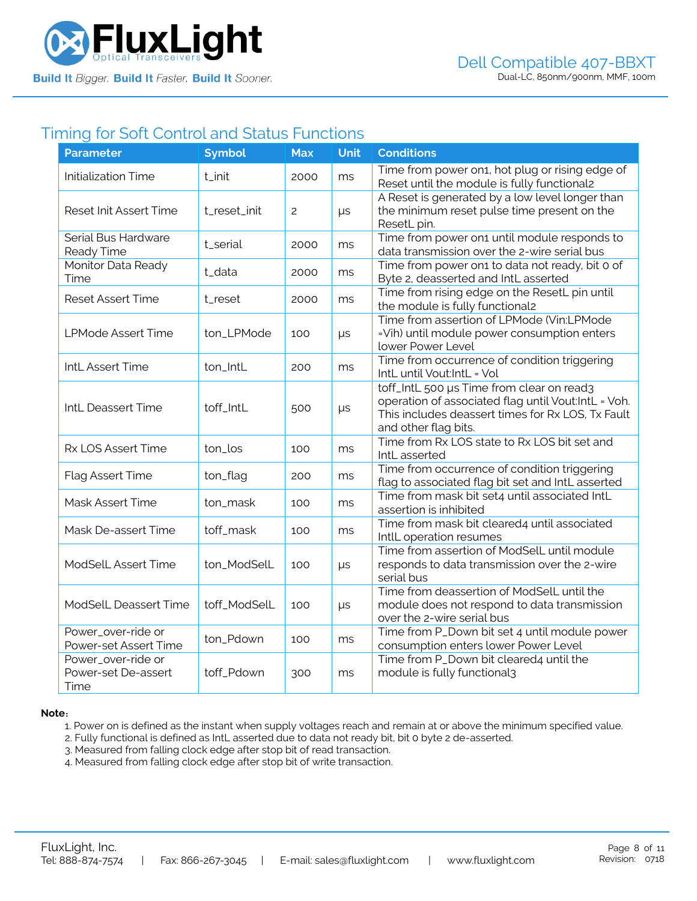

### Timing for Soft Control and Status Functions

| <b>Parameter</b>                                  | <b>Symbol</b> | <b>Max</b> | <b>Unit</b> | <b>Conditions</b>                                                                                                                                                             |
|---------------------------------------------------|---------------|------------|-------------|-------------------------------------------------------------------------------------------------------------------------------------------------------------------------------|
| <b>Initialization Time</b>                        | t_init        | 2000       | ms          | Time from power on1, hot plug or rising edge of<br>Reset until the module is fully functional2                                                                                |
| <b>Reset Init Assert Time</b>                     | t_reset_init  | 2          | μs          | A Reset is generated by a low level longer than<br>the minimum reset pulse time present on the<br>ResetL pin.                                                                 |
| Serial Bus Hardware<br>Ready Time                 | t_serial      | 2000       | ms          | Time from power on1 until module responds to<br>data transmission over the 2-wire serial bus                                                                                  |
| Monitor Data Ready<br>Time                        | t_data        | 2000       | ms          | Time from power on1 to data not ready, bit 0 of<br>Byte 2, deasserted and IntL asserted                                                                                       |
| <b>Reset Assert Time</b>                          | t_reset       | 2000       | ms          | Time from rising edge on the ResetL pin until<br>the module is fully functional2                                                                                              |
| <b>LPMode Assert Time</b>                         | ton_LPMode    | 100        | μs          | Time from assertion of LPMode (Vin:LPMode<br>=Vih) until module power consumption enters<br>lower Power Level                                                                 |
| IntL Assert Time                                  | ton_IntL      | 200        | ms          | Time from occurrence of condition triggering<br>IntL until Vout:IntL = Vol                                                                                                    |
| IntL Deassert Time                                | toff_IntL     | 500        | μs          | toff_IntL 500 µs Time from clear on read3<br>operation of associated flag until Vout:IntL = Voh.<br>This includes deassert times for Rx LOS, Tx Fault<br>and other flag bits. |
| Rx LOS Assert Time                                | ton_los       | 100        | ms          | Time from Rx LOS state to Rx LOS bit set and<br>IntL asserted                                                                                                                 |
| Flag Assert Time                                  | ton_flag      | 200        | ms          | Time from occurrence of condition triggering<br>flag to associated flag bit set and IntL asserted                                                                             |
| Mask Assert Time                                  | ton_mask      | 100        | ms          | Time from mask bit set4 until associated IntL<br>assertion is inhibited                                                                                                       |
| Mask De-assert Time                               | toff_mask     | 100        | ms          | Time from mask bit cleared4 until associated<br>IntlL operation resumes                                                                                                       |
| <b>ModSelL Assert Time</b>                        | ton_ModSelL   | 100        | $\mu s$     | Time from assertion of ModSelL until module<br>responds to data transmission over the 2-wire<br>serial bus                                                                    |
| ModSelL Deassert Time                             | toff_ModSelL  | 100        | $\mu s$     | Time from deassertion of ModSelL until the<br>module does not respond to data transmission<br>over the 2-wire serial bus                                                      |
| Power_over-ride or<br>Power-set Assert Time       | ton_Pdown     | 100        | ms          | Time from P_Down bit set 4 until module power<br>consumption enters lower Power Level                                                                                         |
| Power_over-ride or<br>Power-set De-assert<br>Time | toff_Pdown    | 300        | ms          | Time from P_Down bit cleared4 until the<br>module is fully functional3                                                                                                        |

#### **Note**:

1. Power on is defined as the instant when supply voltages reach and remain at or above the minimum specified value.

- 2. Fully functional is defined as IntL asserted due to data not ready bit, bit 0 byte 2 de-asserted.
- 3. Measured from falling clock edge after stop bit of read transaction.
- 4. Measured from falling clock edge after stop bit of write transaction.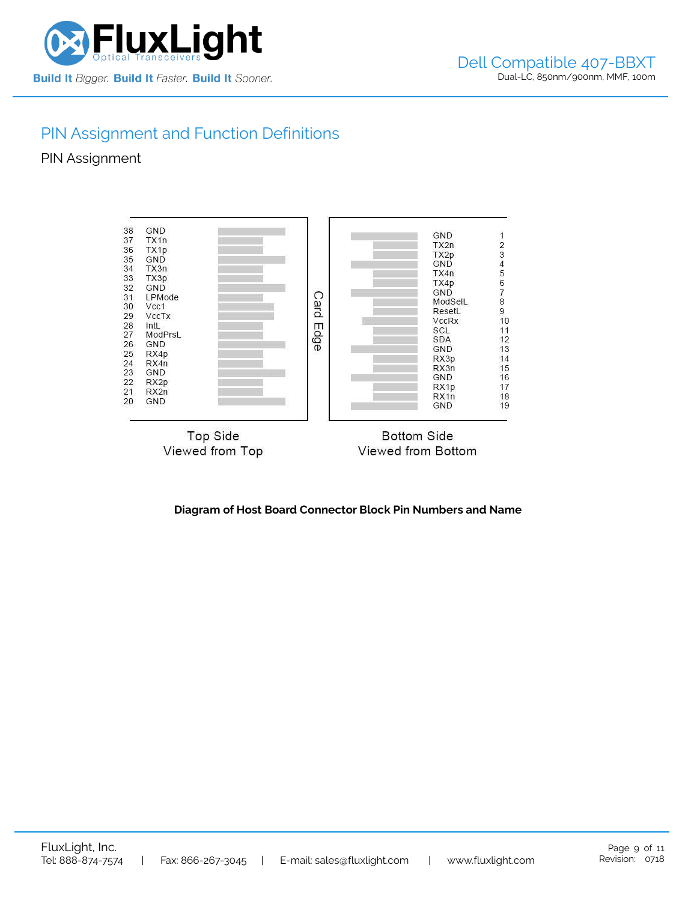

# PIN Assignment and Function Definitions

PIN Assignment



**Diagram of Host Board Connector Block Pin Numbers and Name**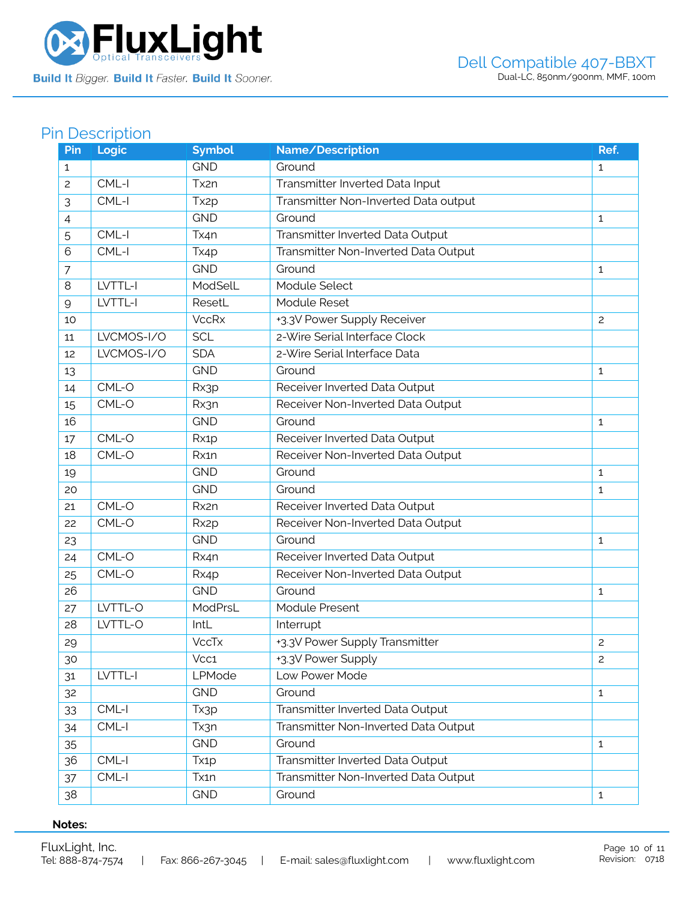

# Pin Description

| Pin            | Logic      | <b>Symbol</b>     | Name/Description                     | Ref.           |
|----------------|------------|-------------------|--------------------------------------|----------------|
| 1              |            | <b>GND</b>        | Ground                               | $\mathbf{1}$   |
| $\overline{c}$ | CML-I      | Tx2n              | Transmitter Inverted Data Input      |                |
| 3              | CML-I      | Tx <sub>2p</sub>  | Transmitter Non-Inverted Data output |                |
| 4              |            | <b>GND</b>        | Ground                               | $\mathbf{1}$   |
| 5              | CML-I      | Tx4n              | Transmitter Inverted Data Output     |                |
| 6              | CML-I      | Tx4p              | Transmitter Non-Inverted Data Output |                |
| $\overline{7}$ |            | <b>GND</b>        | Ground                               | 1              |
| 8              | LVTTL-I    | ModSelL           | Module Select                        |                |
| 9              | LVTTL-I    | ResetL            | Module Reset                         |                |
| 10             |            | <b>VccRx</b>      | +3.3V Power Supply Receiver          | $\overline{c}$ |
| 11             | LVCMOS-I/O | <b>SCL</b>        | 2-Wire Serial Interface Clock        |                |
| 12             | LVCMOS-I/O | <b>SDA</b>        | 2-Wire Serial Interface Data         |                |
| 13             |            | <b>GND</b>        | Ground                               | $\mathbf{1}$   |
| 14             | CML-O      | Rx3p              | Receiver Inverted Data Output        |                |
| 15             | CML-O      | Rx3n              | Receiver Non-Inverted Data Output    |                |
| 16             |            | <b>GND</b>        | Ground                               | 1              |
| 17             | CML-O      | Rx1p              | Receiver Inverted Data Output        |                |
| 18             | CML-O      | Rx1n              | Receiver Non-Inverted Data Output    |                |
| 19             |            | <b>GND</b>        | Ground                               | $\mathbf{1}$   |
| 20             |            | <b>GND</b>        | Ground                               | $\mathbf{1}$   |
| 21             | $CML-O$    | Rx2n              | Receiver Inverted Data Output        |                |
| 22             | CML-O      | Rx <sub>2</sub> p | Receiver Non-Inverted Data Output    |                |
| 23             |            | <b>GND</b>        | Ground                               | 1              |
| 24             | CML-O      | Rx4n              | Receiver Inverted Data Output        |                |
| 25             | CML-O      | Rx4p              | Receiver Non-Inverted Data Output    |                |
| 26             |            | <b>GND</b>        | Ground                               | $\mathbf{1}$   |
| 27             | LVTTL-O    | ModPrsL           | <b>Module Present</b>                |                |
| 28             | LVTTL-O    | IntL              | Interrupt                            |                |
| 29             |            | <b>VccTx</b>      | +3.3V Power Supply Transmitter       | $\overline{c}$ |
| 30             |            | Vcc1              | +3.3V Power Supply                   | $\overline{c}$ |
| 31             | LVTTL-I    | LPMode            | Low Power Mode                       |                |
| 32             |            | <b>GND</b>        | Ground                               | $\mathbf{1}$   |
| 33             | $CML-I$    | Tx3p              | Transmitter Inverted Data Output     |                |
| 34             | CML-I      | Tx3n              | Transmitter Non-Inverted Data Output |                |
| 35             |            | <b>GND</b>        | Ground                               | $\mathbf{1}$   |
| 36             | CML-I      | Tx <sub>1</sub> p | Transmitter Inverted Data Output     |                |
| 37             | CML-I      | Tx1n              | Transmitter Non-Inverted Data Output |                |
| 38             |            | <b>GND</b>        | Ground                               | $\mathbf{1}$   |

### **Notes:**